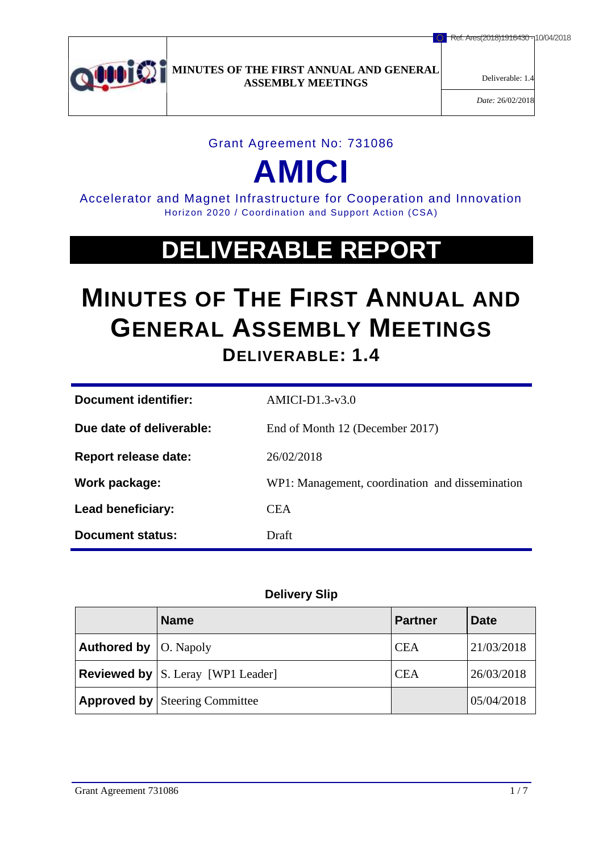

*Date:* 26/02/2018

## Grant Agreement No: 731086

# **AMICI**

Accelerator and Magnet Infrastructure for Cooperation and Innovation Horizon 2020 / Coordination and Support Action (CSA)

## **DELIVERABLE REPORT**

## **MINUTES OF THE FIRST ANNUAL AND GENERAL ASSEMBLY MEETINGS DELIVERABLE: 1.4**

| Document identifier:     | $AMICI-D1.3-v3.0$                               |  |
|--------------------------|-------------------------------------------------|--|
| Due date of deliverable: | End of Month 12 (December 2017)                 |  |
| Report release date:     | 26/02/2018                                      |  |
| Work package:            | WP1: Management, coordination and dissemination |  |
| <b>Lead beneficiary:</b> | <b>CEA</b>                                      |  |
| Document status:         | Draft                                           |  |

## **Delivery Slip**

|                                      | <b>Name</b>                                  | <b>Partner</b> | <b>Date</b> |
|--------------------------------------|----------------------------------------------|----------------|-------------|
| <b>Authored by</b> $\vert$ O. Napoly |                                              | <b>CEA</b>     | 21/03/2018  |
|                                      | <b>Reviewed by</b> $ S$ . Leray [WP1 Leader] | <b>CEA</b>     | 26/03/2018  |
|                                      | <b>Approved by Steering Committee</b>        |                | 05/04/2018  |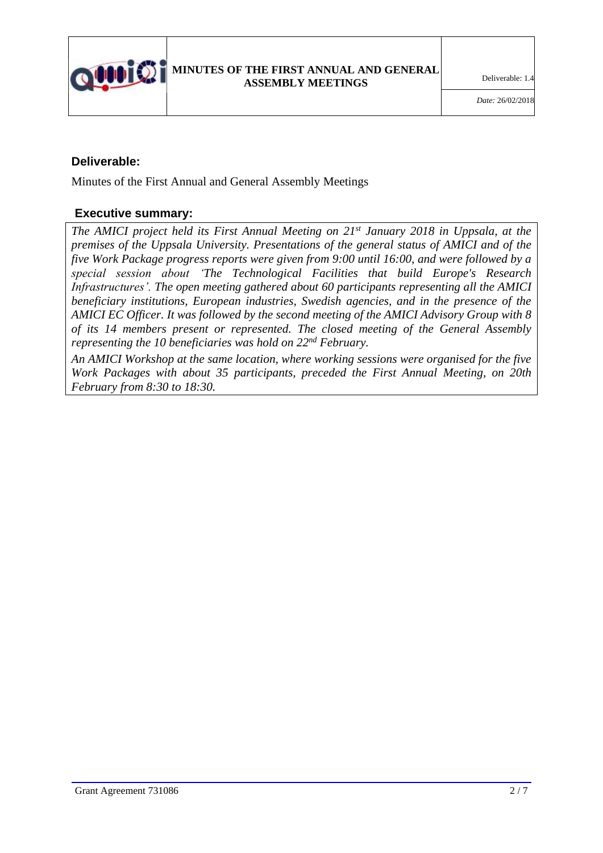

## **Deliverable:**

Minutes of the First Annual and General Assembly Meetings

## **Executive summary:**

*The AMICI project held its First Annual Meeting on 21 st January 2018 in Uppsala, at the premises of the Uppsala University. Presentations of the general status of AMICI and of the five Work Package progress reports were given from 9:00 until 16:00, and were followed by a special session about 'The Technological Facilities that build Europe's Research Infrastructures'. The open meeting gathered about 60 participants representing all the AMICI beneficiary institutions, European industries, Swedish agencies, and in the presence of the AMICI EC Officer. It was followed by the second meeting of the AMICI Advisory Group with 8 of its 14 members present or represented. The closed meeting of the General Assembly representing the 10 beneficiaries was hold on 22nd February.*

*An AMICI Workshop at the same location, where working sessions were organised for the five Work Packages with about 35 participants, preceded the First Annual Meeting, on 20th February from 8:30 to 18:30.*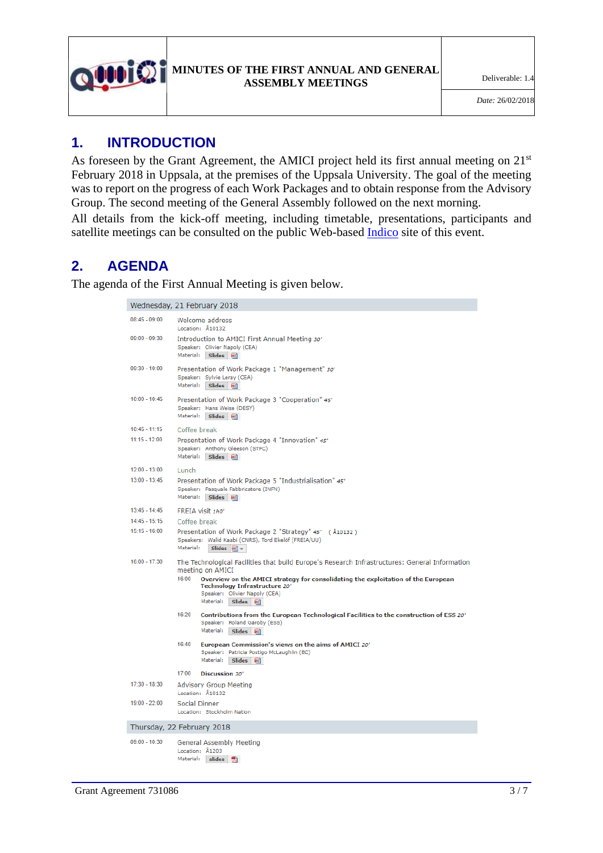

## **1. INTRODUCTION**

As foreseen by the Grant Agreement, the AMICI project held its first annual meeting on 21<sup>st</sup> February 2018 in Uppsala, at the premises of the Uppsala University. The goal of the meeting was to report on the progress of each Work Packages and to obtain response from the Advisory Group. The second meeting of the General Assembly followed on the next morning.

All details from the kick-off meeting, including timetable, presentations, participants and satellite meetings can be consulted on the public Web-based [Indico](https://indico.uu.se/event/445/overview) site of this event.

## **2. AGENDA**

The agenda of the First Annual Meeting is given below.

#### Wednesday, 21 February 2018

| $08:45 - 09:00$            | Welcome address<br>Location: Å10132                                                                                                                                                  |  |  |  |
|----------------------------|--------------------------------------------------------------------------------------------------------------------------------------------------------------------------------------|--|--|--|
| $09:00 - 09:30$            | Introduction to AMICI First Annual Meeting 30'<br>Speaker: Olivier Napoly (CEA)<br>Material: Slides [8]                                                                              |  |  |  |
| $09:30 - 10:00$            | Presentation of Work Package 1 "Management" 30'<br>Speaker: Sylvie Leray (CEA)<br>Material: Slides [*]                                                                               |  |  |  |
| $10:00 - 10:45$            | Presentation of Work Package 3 "Cooperation" 45'<br>Speaker: Hans Weise (DESY)<br>Material: Slides [8]                                                                               |  |  |  |
| $10:45 - 11:15$            | Coffee break                                                                                                                                                                         |  |  |  |
| $11:15 - 12:00$            | Presentation of Work Package 4 "Innovation" 45'<br>Speaker: Anthony Gleeson (STFC)<br>Material: Slides [8]                                                                           |  |  |  |
| $12:00 - 13:00$            | Lunch                                                                                                                                                                                |  |  |  |
| $13:00 - 13:45$            | Presentation of Work Package 5 "Industrialisation" 45'<br>Speaker: Pasquale Fabbricatore (INFN)<br>Material: Slides (8)                                                              |  |  |  |
| $13:45 - 14:45$            | FREIA visit 1h0'                                                                                                                                                                     |  |  |  |
| $14:45 - 15:15$            | Coffee break                                                                                                                                                                         |  |  |  |
| $15:15 - 16:00$            | Presentation of Work Package 2 "Strategy" 45' ( Å10132 )<br>Speakers: Walid Kaabi (CNRS), Tord Ekelöf (FREIA/UU)<br>Material:<br>Slides $\boxed{\bullet}$ $\boxed{\ast}$             |  |  |  |
| $16:00 - 17:30$            | The Technological Facilities that build Europe's Research Infrastructures: General Information<br>meeting on AMICI                                                                   |  |  |  |
|                            | 16:00<br>Overview on the AMICI strategy for consolidating the exploitation of the European<br>Technology Infrastructure 20'<br>Speaker: Olivier Napoly (CEA)<br>Material: Slides [8] |  |  |  |
|                            | 16:20<br>Contributions from the European Technological Facilities to the construction of ESS 20'<br>Speaker: Roland Garoby (ESS)<br>Material:<br>Slides [#]                          |  |  |  |
|                            | 16:40<br>European Commission's views on the aims of AMICI 20'<br>Speaker: Patricia Postigo McLaughlin (EC)<br>Material:<br>Slides [*]                                                |  |  |  |
|                            | 17:00<br>Discussion 30'                                                                                                                                                              |  |  |  |
| 17:30 - 18:30              | <b>Advisory Group Meeting</b><br>Location: Å10132                                                                                                                                    |  |  |  |
| 19:00 - 22:00              | Social Dinner<br>Location: Stockholm Nation                                                                                                                                          |  |  |  |
| Thursday, 22 February 2018 |                                                                                                                                                                                      |  |  |  |
| $09:00 - 10:30$            | General Assembly Meeting<br>Location: Å1203<br>Material: slides 1                                                                                                                    |  |  |  |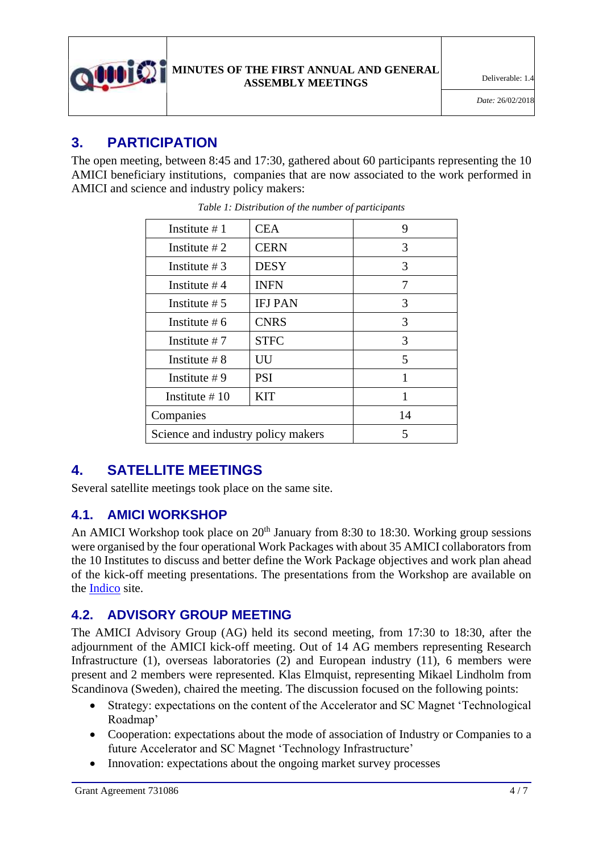

## **3. PARTICIPATION**

The open meeting, between 8:45 and 17:30, gathered about 60 participants representing the 10 AMICI beneficiary institutions, companies that are now associated to the work performed in AMICI and science and industry policy makers:

| Institute $#1$                     | <b>CEA</b>     | 9  |
|------------------------------------|----------------|----|
| Institute $#2$                     | <b>CERN</b>    | 3  |
| Institute $#3$                     | <b>DESY</b>    | 3  |
| Institute $#4$                     | <b>INFN</b>    | 7  |
| Institute $#5$                     | <b>IFJ PAN</b> | 3  |
| Institute $#6$                     | <b>CNRS</b>    | 3  |
| Institute $#7$                     | <b>STFC</b>    | 3  |
| Institute $\#8$                    | UU             | 5  |
| Institute $#9$                     | <b>PSI</b>     | 1  |
| Institute $\#10$                   | <b>KIT</b>     |    |
| Companies                          |                | 14 |
| Science and industry policy makers |                | 5  |

*Table 1: Distribution of the number of participants*

## **4. SATELLITE MEETINGS**

Several satellite meetings took place on the same site.

## **4.1. AMICI WORKSHOP**

An AMICI Workshop took place on  $20<sup>th</sup>$  January from 8:30 to 18:30. Working group sessions were organised by the four operational Work Packages with about 35 AMICI collaborators from the 10 Institutes to discuss and better define the Work Package objectives and work plan ahead of the kick-off meeting presentations. The presentations from the Workshop are available on the [Indico](https://indico.uu.se/event/445/overview) site.

## **4.2. ADVISORY GROUP MEETING**

The AMICI Advisory Group (AG) held its second meeting, from 17:30 to 18:30, after the adjournment of the AMICI kick-off meeting. Out of 14 AG members representing Research Infrastructure (1), overseas laboratories (2) and European industry (11), 6 members were present and 2 members were represented. Klas Elmquist, representing Mikael Lindholm from Scandinova (Sweden), chaired the meeting. The discussion focused on the following points:

- Strategy: expectations on the content of the Accelerator and SC Magnet 'Technological Roadmap'
- Cooperation: expectations about the mode of association of Industry or Companies to a future Accelerator and SC Magnet 'Technology Infrastructure'
- Innovation: expectations about the ongoing market survey processes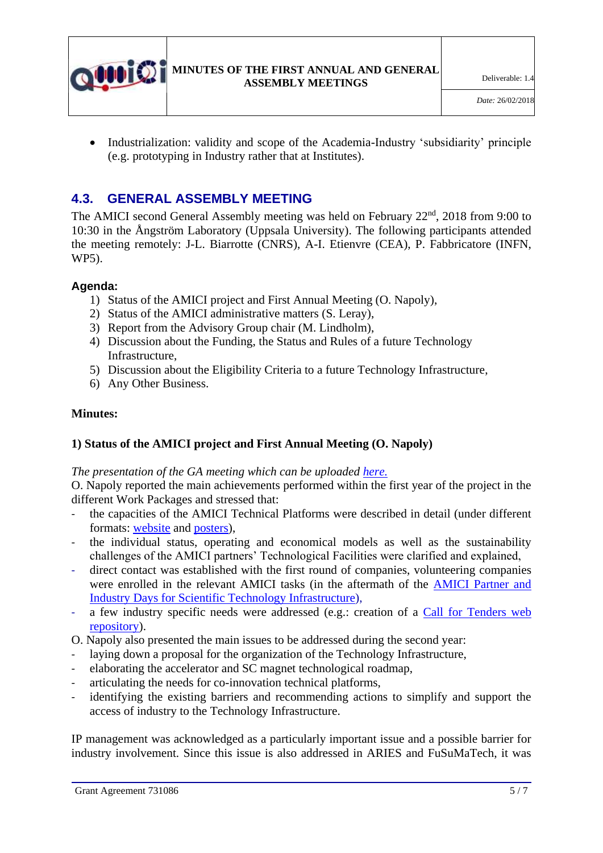

• Industrialization: validity and scope of the Academia-Industry 'subsidiarity' principle (e.g. prototyping in Industry rather that at Institutes).

## **4.3. GENERAL ASSEMBLY MEETING**

The AMICI second General Assembly meeting was held on February 22<sup>nd</sup>, 2018 from 9:00 to 10:30 in the Ångström Laboratory (Uppsala University). The following participants attended the meeting remotely: J-L. Biarrotte (CNRS), A-I. Etienvre (CEA), P. Fabbricatore (INFN, WP5).

### **Agenda:**

- 1) Status of the AMICI project and First Annual Meeting (O. Napoly),
- 2) Status of the AMICI administrative matters (S. Leray),
- 3) Report from the Advisory Group chair (M. Lindholm),
- 4) Discussion about the Funding, the Status and Rules of a future Technology Infrastructure,
- 5) Discussion about the Eligibility Criteria to a future Technology Infrastructure,
- 6) Any Other Business.

### **Minutes:**

## **1) Status of the AMICI project and First Annual Meeting (O. Napoly)**

#### *The presentation of the GA meeting which can be uploaded [here.](https://indico.uu.se/event/445/session/4/material/0/0.pdf)*

O. Napoly reported the main achievements performed within the first year of the project in the different Work Packages and stressed that:

- the capacities of the AMICI Technical Platforms were described in detail (under different formats: [website](http://eu-amici.eu/technology_infrastructure/search?q) and [posters\)](https://espace.cern.ch/amici/Public%20Documents/Forms/AllItems.aspx?RootFolder=%2Famici%2FPublic%20Documents%2FWP3%2FPosters&FolderCTID=0x0120007AFEA6CBE391714B85BA6BB9D946D04F&View=%7B85A8230C%2D8F6C%2D4782%2DB6C1%2DB3590F1D4D9C%7D),
- the individual status, operating and economical models as well as the sustainability challenges of the AMICI partners' Technological Facilities were clarified and explained,
- direct contact was established with the first round of companies, volunteering companies were enrolled in the relevant AMICI tasks (in the aftermath of the [AMICI Partner and](https://agenda.infn.it/conferenceDisplay.py?confId=13033)  [Industry Days for Scientific Technology Infrastructure\)](https://agenda.infn.it/conferenceDisplay.py?confId=13033),
- a few industry specific needs were addressed (e.g.: creation of a Call for Tenders web [repository\)](http://eu-amici.eu/industry_involvement/tendering).

O. Napoly also presented the main issues to be addressed during the second year:

- laying down a proposal for the organization of the Technology Infrastructure,
- elaborating the accelerator and SC magnet technological roadmap,
- articulating the needs for co-innovation technical platforms,
- identifying the existing barriers and recommending actions to simplify and support the access of industry to the Technology Infrastructure.

IP management was acknowledged as a particularly important issue and a possible barrier for industry involvement. Since this issue is also addressed in ARIES and FuSuMaTech, it was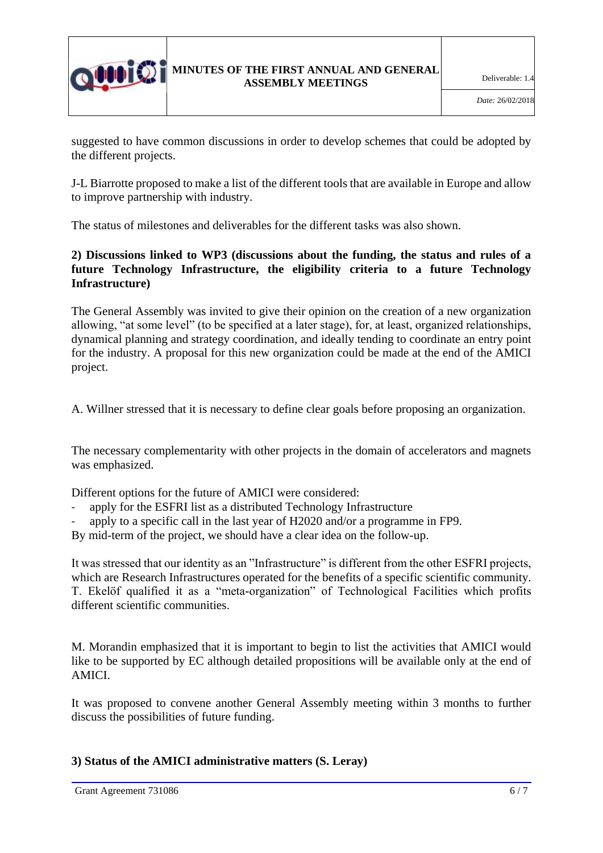

suggested to have common discussions in order to develop schemes that could be adopted by the different projects.

J-L Biarrotte proposed to make a list of the different tools that are available in Europe and allow to improve partnership with industry.

The status of milestones and deliverables for the different tasks was also shown.

## **2) Discussions linked to WP3 (discussions about the funding, the status and rules of a future Technology Infrastructure, the eligibility criteria to a future Technology Infrastructure)**

The General Assembly was invited to give their opinion on the creation of a new organization allowing, "at some level" (to be specified at a later stage), for, at least, organized relationships, dynamical planning and strategy coordination, and ideally tending to coordinate an entry point for the industry. A proposal for this new organization could be made at the end of the AMICI project.

A. Willner stressed that it is necessary to define clear goals before proposing an organization.

The necessary complementarity with other projects in the domain of accelerators and magnets was emphasized.

Different options for the future of AMICI were considered:

- apply for the ESFRI list as a distributed Technology Infrastructure
- apply to a specific call in the last year of H2020 and/or a programme in FP9.

By mid-term of the project, we should have a clear idea on the follow-up.

It was stressed that our identity as an "Infrastructure" is different from the other ESFRI projects, which are Research Infrastructures operated for the benefits of a specific scientific community. T. Ekelöf qualified it as a "meta-organization" of Technological Facilities which profits different scientific communities.

M. Morandin emphasized that it is important to begin to list the activities that AMICI would like to be supported by EC although detailed propositions will be available only at the end of AMICI.

It was proposed to convene another General Assembly meeting within 3 months to further discuss the possibilities of future funding.

## **3) Status of the AMICI administrative matters (S. Leray)**